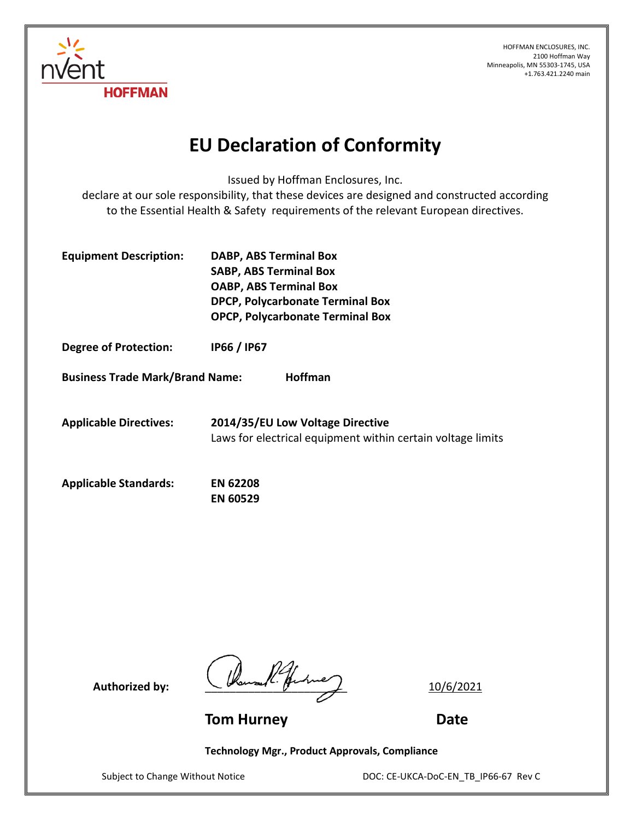

## **EU Declaration of Conformity**

Issued by Hoffman Enclosures, Inc.

declare at our sole responsibility, that these devices are designed and constructed according to the Essential Health & Safety requirements of the relevant European directives.

| <b>Equipment Description:</b> | <b>DABP, ABS Terminal Box</b>           |
|-------------------------------|-----------------------------------------|
|                               | <b>SABP, ABS Terminal Box</b>           |
|                               | <b>OABP, ABS Terminal Box</b>           |
|                               | DPCP, Polycarbonate Terminal Box        |
|                               | <b>OPCP, Polycarbonate Terminal Box</b> |

**Degree of Protection: IP66 / IP67**

**Business Trade Mark/Brand Name: Hoffman**

/⊖r

**HOFFMAN** 

**Applicable Directives: 2014/35/EU Low Voltage Directive** Laws for electrical equipment within certain voltage limits

| <b>Applicable Standards:</b> | <b>EN 62208</b> |
|------------------------------|-----------------|
|                              | <b>EN 60529</b> |

Authorized by:  $\left(\sqrt{\frac{2}{m}}\pi\right)^{2}$ 

**Tom Hurney Date**

**Technology Mgr., Product Approvals, Compliance**

Subject to Change Without Notice DOC: CE-UKCA-DoC-EN\_TB\_IP66-67 Rev C